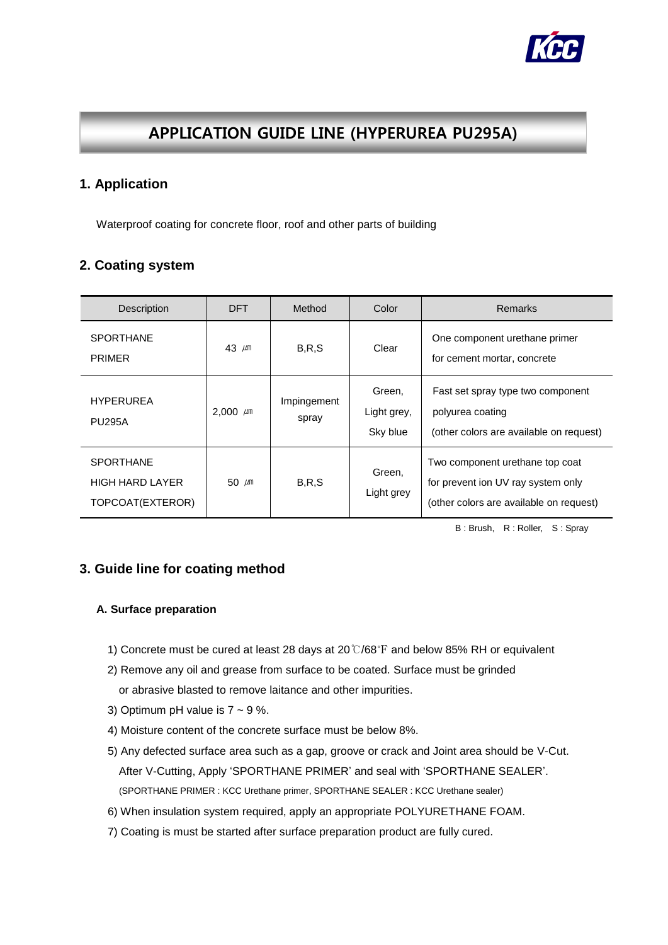

# APPLICATION GUIDE LINE (HYPERUREA PU295A)

### **1. Application**

Waterproof coating for concrete floor, roof and other parts of building

## **2. Coating system**

| <b>Description</b>                                             | <b>DFT</b>    | Method               | Color                             | <b>Remarks</b>                                                                                                   |
|----------------------------------------------------------------|---------------|----------------------|-----------------------------------|------------------------------------------------------------------------------------------------------------------|
| <b>SPORTHANE</b><br><b>PRIMER</b>                              | 43 $\mu$ m    | B, R, S              | Clear                             | One component urethane primer<br>for cement mortar, concrete                                                     |
| <b>HYPERUREA</b><br><b>PU295A</b>                              | 2.000 $\mu$ m | Impingement<br>spray | Green,<br>Light grey,<br>Sky blue | Fast set spray type two component<br>polyurea coating<br>(other colors are available on request)                 |
| <b>SPORTHANE</b><br><b>HIGH HARD LAYER</b><br>TOPCOAT(EXTEROR) | 50 $\mu$ m    | B, R, S              | Green,<br>Light grey              | Two component urethane top coat<br>for prevent ion UV ray system only<br>(other colors are available on request) |

B : Brush, R : Roller, S : Spray

### **3. Guide line for coating method**

### **A. Surface preparation**

- 1) Concrete must be cured at least 28 days at 20℃/68℉ and below 85% RH or equivalent
- 2) Remove any oil and grease from surface to be coated. Surface must be grinded or abrasive blasted to remove laitance and other impurities.
- 3) Optimum pH value is  $7 \sim 9$  %.
- 4) Moisture content of the concrete surface must be below 8%.
- 5) Any defected surface area such as a gap, groove or crack and Joint area should be V-Cut. After V-Cutting, Apply 'SPORTHANE PRIMER' and seal with 'SPORTHANE SEALER'. (SPORTHANE PRIMER : KCC Urethane primer, SPORTHANE SEALER : KCC Urethane sealer)
- 6) When insulation system required, apply an appropriate POLYURETHANE FOAM.
- 7) Coating is must be started after surface preparation product are fully cured.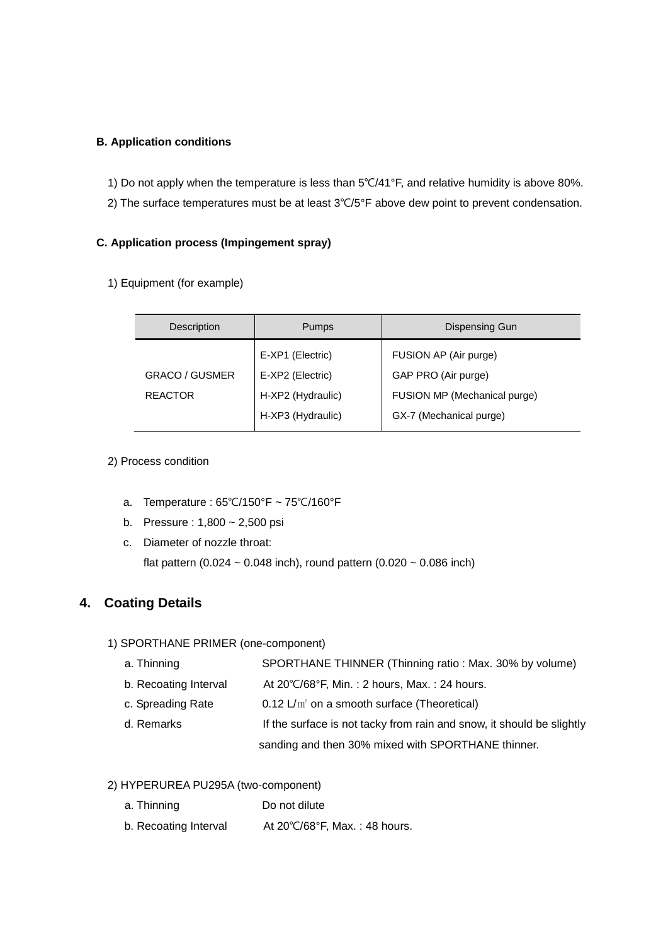### **B. Application conditions**

- 1) Do not apply when the temperature is less than 5℃/41°F, and relative humidity is above 80%.
- 2) The surface temperatures must be at least 3℃/5°F above dew point to prevent condensation.

#### **C. Application process (Impingement spray)**

1) Equipment (for example)

| <b>Description</b>    | <b>Pumps</b>      | Dispensing Gun               |
|-----------------------|-------------------|------------------------------|
|                       | E-XP1 (Electric)  | FUSION AP (Air purge)        |
| <b>GRACO / GUSMER</b> | E-XP2 (Electric)  | GAP PRO (Air purge)          |
| <b>REACTOR</b>        | H-XP2 (Hydraulic) | FUSION MP (Mechanical purge) |
|                       | H-XP3 (Hydraulic) | GX-7 (Mechanical purge)      |

#### 2) Process condition

- a. Temperature : 65℃/150°F ~ 75℃/160°F
- b. Pressure : 1,800 ~ 2,500 psi
- c. Diameter of nozzle throat: flat pattern (0.024  $\sim$  0.048 inch), round pattern (0.020  $\sim$  0.086 inch)

# **4. Coating Details**

#### 1) SPORTHANE PRIMER (one-component)

- a. Thinning SPORTHANE THINNER (Thinning ratio : Max. 30% by volume)
- b. Recoating Interval At 20℃/68°F, Min. : 2 hours, Max. : 24 hours.
- c. Spreading Rate  $0.12 \text{ L/m}^2$  on a smooth surface (Theoretical)
- d. Remarks **If the surface is not tacky from rain and snow**, it should be slightly sanding and then 30% mixed with SPORTHANE thinner.

#### 2) HYPERUREA PU295A (two-component)

- a. Thinning Do not dilute
- b. Recoating Interval At 20℃/68°F, Max. : 48 hours.